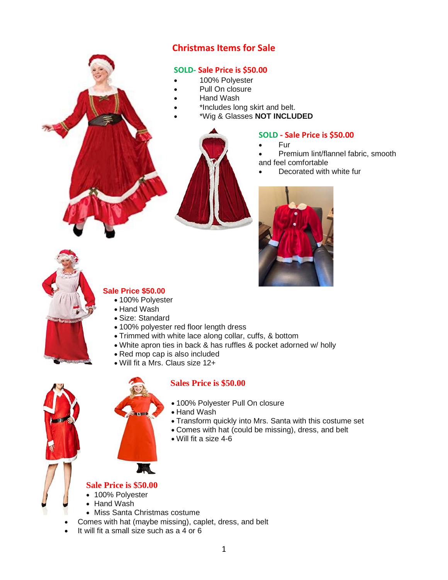# **Christmas Items for Sale**

### **SOLD- Sale Price is \$50.00**

- 100% Polyester
- Pull On closure
- Hand Wash
- \*Includes long skirt and belt.
- \*Wig & Glasses **NOT INCLUDED**



### **SOLD - Sale Price is \$50.00**

- Fur
- Premium lint/flannel fabric, smooth and feel comfortable
	- Decorated with white fur





### **Sale Price \$50.00**

- 100% Polvester
- Hand Wash
- Size: Standard
- 100% polyester red floor length dress
- Trimmed with white lace along collar, cuffs, & bottom
- White apron ties in back & has ruffles & pocket adorned w/ holly
- Red mop cap is also included
- Will fit a Mrs. Claus size 12+



## **Sales Price is \$50.00**

- 100% Polyester Pull On closure
- Hand Wash
- Transform quickly into Mrs. Santa with this costume set
- Comes with hat (could be missing), dress, and belt
- Will fit a size 4-6



- 100% Polyester
- Hand Wash
- Miss Santa Christmas costume
- Comes with hat (maybe missing), caplet, dress, and belt
- It will fit a small size such as a 4 or 6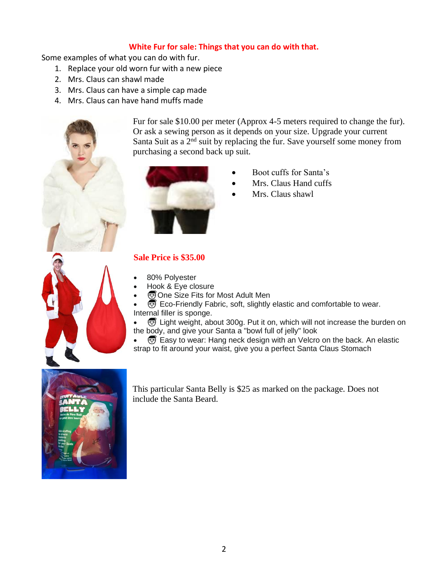### **White Fur for sale: Things that you can do with that.**

Some examples of what you can do with fur.

- 1. Replace your old worn fur with a new piece
- 2. Mrs. Claus can shawl made
- 3. Mrs. Claus can have a simple cap made
- 4. Mrs. Claus can have hand muffs made



Fur for sale \$10.00 per meter (Approx 4-5 meters required to change the fur). Or ask a sewing person as it depends on your size. Upgrade your current Santa Suit as a  $2<sup>nd</sup>$  suit by replacing the fur. Save yourself some money from purchasing a second back up suit.



- Boot cuffs for Santa's
- Mrs. Claus Hand cuffs
- Mrs. Claus shawl

### **Sale Price is \$35.00**

- 80% Polyester
- Hook & Eye closure
- **One Size Fits for Most Adult Men**
- $\overline{\mathcal{O}}$  Eco-Friendly Fabric, soft, slightly elastic and comfortable to wear. Internal filler is sponge.

•  $\bigcirc$  Light weight, about 300g. Put it on, which will not increase the burden on the body, and give your Santa a "bowl full of jelly" look

• Easy to wear: Hang neck design with an Velcro on the back. An elastic strap to fit around your waist, give you a perfect Santa Claus Stomach



This particular Santa Belly is \$25 as marked on the package. Does not include the Santa Beard.